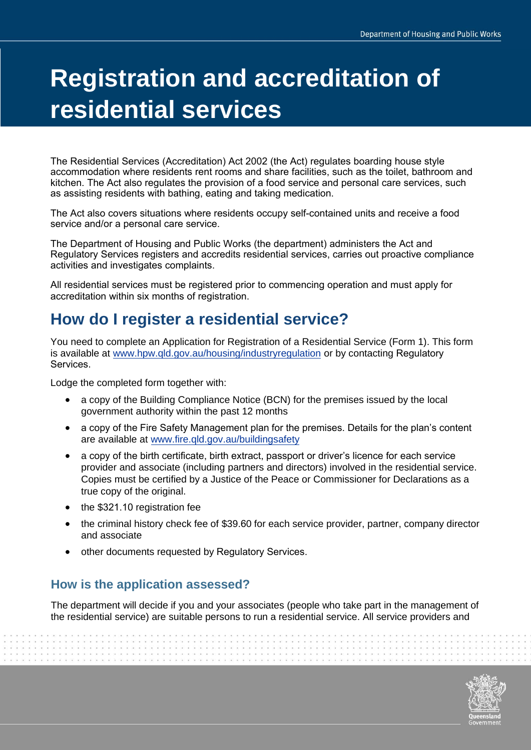# **Registration and accreditation of residential services**

The Residential Services (Accreditation) Act 2002 (the Act) regulates boarding house style accommodation where residents rent rooms and share facilities, such as the toilet, bathroom and kitchen. The Act also regulates the provision of a food service and personal care services, such as assisting residents with bathing, eating and taking medication.

The Act also covers situations where residents occupy self-contained units and receive a food service and/or a personal care service.

The Department of Housing and Public Works (the department) administers the Act and Regulatory Services registers and accredits residential services, carries out proactive compliance activities and investigates complaints.

All residential services must be registered prior to commencing operation and must apply for accreditation within six months of registration.

# **How do I register a residential service?**

You need to complete an Application for Registration of a Residential Service (Form 1). This form is available at [www.hpw.qld.gov.au/housing/industryregulation](http://www.hpw.qld.gov.au/housing/industryregulation) or by contacting Regulatory Services.

Lodge the completed form together with:

- a copy of the Building Compliance Notice (BCN) for the premises issued by the local government authority within the past 12 months
- a copy of the Fire Safety Management plan for the premises. Details for the plan's content are available at [www.fire.qld.gov.au/buildingsafety](http://www.fire.qld.gov.au/buildingsafety)
- a copy of the bir[th certificate, birth extra](http://www.fire.qld.gov.au/buildingsafety%E2%80%A2a)ct, passport or driver's licence for each service [provider and associate \(including partners and direct](http://www.fire.qld.gov.au/buildingsafety%E2%80%A2a)ors) involved in the residential service. Copies must be certified by a Justice of the Peace or Commissioner for Declarations as a true copy of the original.
- the \$321.10 registration fee
- the criminal history check fee of \$39.60 for each service provider, partner, company director and associate
- other documents requested by Regulatory Services.

## **How is the application assessed?**

The department will decide if you and your associates (people who take part in the management of the residential service) are suitable persons to run a residential service. All service providers and

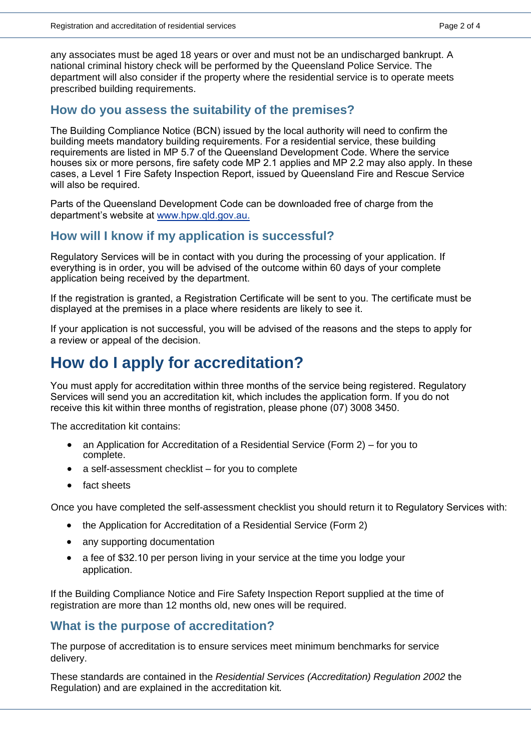any associates must be aged 18 years or over and must not be an undischarged bankrupt. A national criminal history check will be performed by the Queensland Police Service. The department will also consider if the property where the residential service is to operate meets prescribed building requirements.

#### **How do you assess the suitability of the premises?**

The Building Compliance Notice (BCN) issued by the local authority will need to confirm the building meets mandatory building requirements. For a residential service, these building requirements are listed in MP 5.7 of the Queensland Development Code. Where the service houses six or more persons, fire safety code MP 2.1 applies and MP 2.2 may also apply. In these cases, a Level 1 Fire Safety Inspection Report, issued by Queensland Fire and Rescue Service will also be required.

Parts of the Queensland Development Code can be downloaded free of charge from the department's website at w[ww.hpw.qld.gov.au.](www.hpw.qld.gov.au/)

#### **How will I know if my application is successful?**

Regulatory Services will be in contact with you during the processing of your application. If everything is in order, you will be advised of the outcome within 60 days of your complete application being received by the department.

If the registration is granted, a Registration Certificate will be sent to you. The certificate must be displayed at the premises in a place where residents are likely to see it.

If your application is not successful, you will be advised of the reasons and the steps to apply for a review or appeal of the decision.

# **How do I apply for accreditation?**

You must apply for accreditation within three months of the service being registered. Regulatory Services will send you an accreditation kit, which includes the application form. If you do not receive this kit within three months of registration, please phone (07) 3008 3450.

The accreditation kit contains:

- an Application for Accreditation of a Residential Service (Form 2) for you to complete.
- a self-assessment checklist for you to complete
- fact sheets

Once you have completed the self-assessment checklist you should return it to Regulatory Services with:

- the Application for Accreditation of a Residential Service (Form 2)
- any supporting documentation
- a fee of \$32.10 per person living in your service at the time you lodge your application.

If the Building Compliance Notice and Fire Safety Inspection Report supplied at the time of registration are more than 12 months old, new ones will be required.

#### **What is the purpose of accreditation?**

The purpose of accreditation is to ensure services meet minimum benchmarks for service delivery.

These standards are contained in the *Residential Services (Accreditation) Regulation 2002* the Regulation) and are explained in the accreditation kit*.*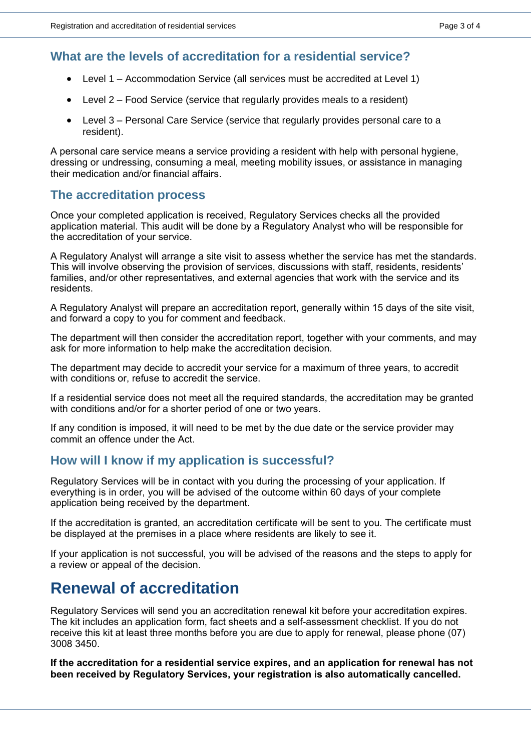# **What are the levels of accreditation for a residential service?**

- Level 1 Accommodation Service (all services must be accredited at Level 1)
- Level 2 Food Service (service that regularly provides meals to a resident)
- Level 3 Personal Care Service (service that regularly provides personal care to a resident).

A personal care service means a service providing a resident with help with personal hygiene, dressing or undressing, consuming a meal, meeting mobility issues, or assistance in managing their medication and/or financial affairs.

# **The accreditation process**

Once your completed application is received, Regulatory Services checks all the provided application material. This audit will be done by a Regulatory Analyst who will be responsible for the accreditation of your service.

A Regulatory Analyst will arrange a site visit to assess whether the service has met the standards. This will involve observing the provision of services, discussions with staff, residents, residents' families, and/or other representatives, and external agencies that work with the service and its residents.

A Regulatory Analyst will prepare an accreditation report, generally within 15 days of the site visit, and forward a copy to you for comment and feedback.

The department will then consider the accreditation report, together with your comments, and may ask for more information to help make the accreditation decision.

The department may decide to accredit your service for a maximum of three years, to accredit with conditions or, refuse to accredit the service.

If a residential service does not meet all the required standards, the accreditation may be granted with conditions and/or for a shorter period of one or two years.

If any condition is imposed, it will need to be met by the due date or the service provider may commit an offence under the Act.

# **How will I know if my application is successful?**

Regulatory Services will be in contact with you during the processing of your application. If everything is in order, you will be advised of the outcome within 60 days of your complete application being received by the department.

If the accreditation is granted, an accreditation certificate will be sent to you. The certificate must be displayed at the premises in a place where residents are likely to see it.

If your application is not successful, you will be advised of the reasons and the steps to apply for a review or appeal of the decision.

# **Renewal of accreditation**

Regulatory Services will send you an accreditation renewal kit before your accreditation expires. The kit includes an application form, fact sheets and a self-assessment checklist. If you do not receive this kit at least three months before you are due to apply for renewal, please phone (07) 3008 3450.

**If the accreditation for a residential service expires, and an application for renewal has not been received by Regulatory Services, your registration is also automatically cancelled.**